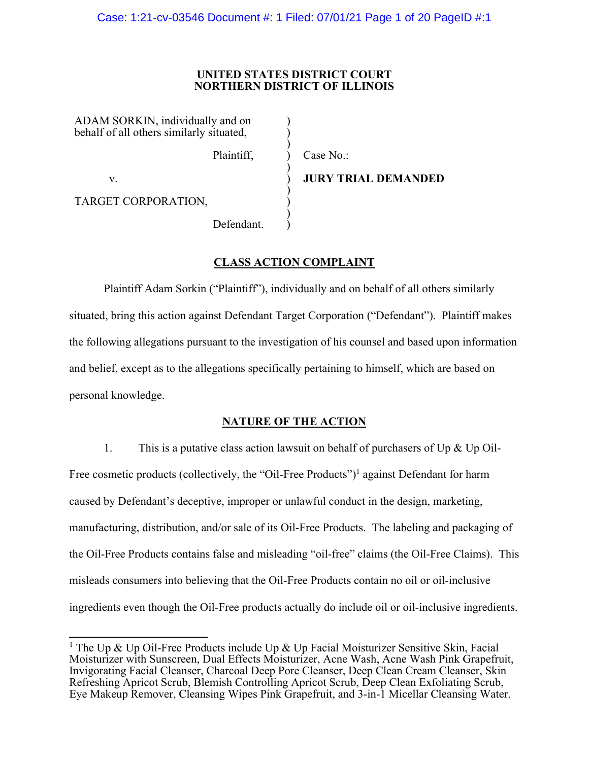### **UNITED STATES DISTRICT COURT NORTHERN DISTRICT OF ILLINOIS**

)  $\sum_{i=1}^{n}$  $\sum_{i=1}^{n}$  $\sum_{i=1}^{n}$  $\sum_{i=1}^{n}$  $\sum_{i=1}^{n}$  $\sum_{i=1}^{n}$  $\sum_{i=1}^{n}$  $\sum_{i=1}^{n}$  $\sum_{i=1}^{n}$ 

ADAM SORKIN, individually and on behalf of all others similarly situated,

Plaintiff,

v.

Case No.:

**JURY TRIAL DEMANDED** 

TARGET CORPORATION,

Defendant.

# **CLASS ACTION COMPLAINT**

Plaintiff Adam Sorkin ("Plaintiff"), individually and on behalf of all others similarly situated, bring this action against Defendant Target Corporation ("Defendant"). Plaintiff makes the following allegations pursuant to the investigation of his counsel and based upon information and belief, except as to the allegations specifically pertaining to himself, which are based on personal knowledge.

## **NATURE OF THE ACTION**

1. This is a putative class action lawsuit on behalf of purchasers of Up  $\&$  Up Oil-Free cosmetic products (collectively, the "Oil-Free Products")<sup>1</sup> against Defendant for harm caused by Defendant's deceptive, improper or unlawful conduct in the design, marketing, manufacturing, distribution, and/or sale of its Oil-Free Products. The labeling and packaging of the Oil-Free Products contains false and misleading "oil-free" claims (the Oil-Free Claims). This misleads consumers into believing that the Oil-Free Products contain no oil or oil-inclusive ingredients even though the Oil-Free products actually do include oil or oil-inclusive ingredients.

<sup>&</sup>lt;sup>1</sup> The Up & Up Oil-Free Products include Up & Up Facial Moisturizer Sensitive Skin, Facial Moisturizer with Sunscreen, Dual Effects Moisturizer, Acne Wash, Acne Wash Pink Grapefruit, Invigorating Facial Cleanser, Charcoal Deep Pore Cleanser, Deep Clean Cream Cleanser, Skin Refreshing Apricot Scrub, Blemish Controlling Apricot Scrub, Deep Clean Exfoliating Scrub, Eye Makeup Remover, Cleansing Wipes Pink Grapefruit, and 3-in-1 Micellar Cleansing Water.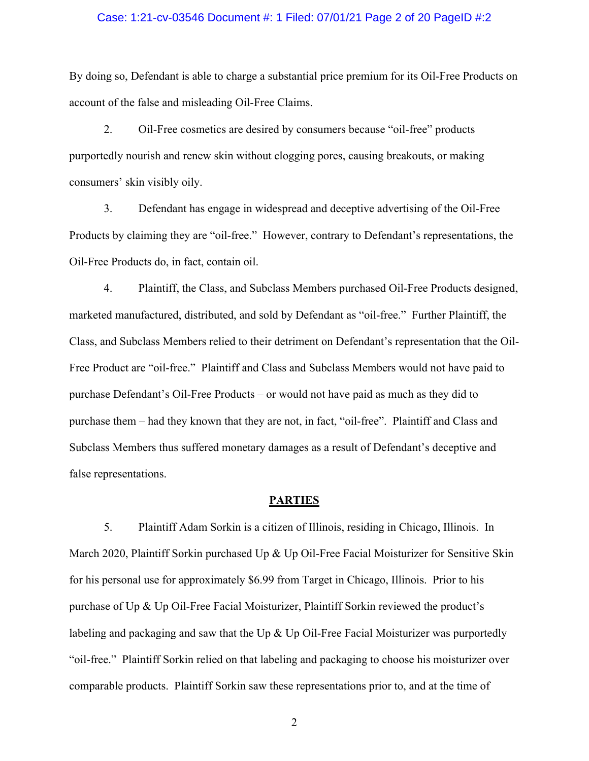### Case: 1:21-cv-03546 Document #: 1 Filed: 07/01/21 Page 2 of 20 PageID #:2

By doing so, Defendant is able to charge a substantial price premium for its Oil-Free Products on account of the false and misleading Oil-Free Claims.

2. Oil-Free cosmetics are desired by consumers because "oil-free" products purportedly nourish and renew skin without clogging pores, causing breakouts, or making consumers' skin visibly oily.

3. Defendant has engage in widespread and deceptive advertising of the Oil-Free Products by claiming they are "oil-free." However, contrary to Defendant's representations, the Oil-Free Products do, in fact, contain oil.

4. Plaintiff, the Class, and Subclass Members purchased Oil-Free Products designed, marketed manufactured, distributed, and sold by Defendant as "oil-free." Further Plaintiff, the Class, and Subclass Members relied to their detriment on Defendant's representation that the Oil-Free Product are "oil-free." Plaintiff and Class and Subclass Members would not have paid to purchase Defendant's Oil-Free Products – or would not have paid as much as they did to purchase them – had they known that they are not, in fact, "oil-free". Plaintiff and Class and Subclass Members thus suffered monetary damages as a result of Defendant's deceptive and false representations.

#### **PARTIES**

5. Plaintiff Adam Sorkin is a citizen of Illinois, residing in Chicago, Illinois. In March 2020, Plaintiff Sorkin purchased Up & Up Oil-Free Facial Moisturizer for Sensitive Skin for his personal use for approximately \$6.99 from Target in Chicago, Illinois. Prior to his purchase of Up & Up Oil-Free Facial Moisturizer, Plaintiff Sorkin reviewed the product's labeling and packaging and saw that the Up & Up Oil-Free Facial Moisturizer was purportedly "oil-free." Plaintiff Sorkin relied on that labeling and packaging to choose his moisturizer over comparable products. Plaintiff Sorkin saw these representations prior to, and at the time of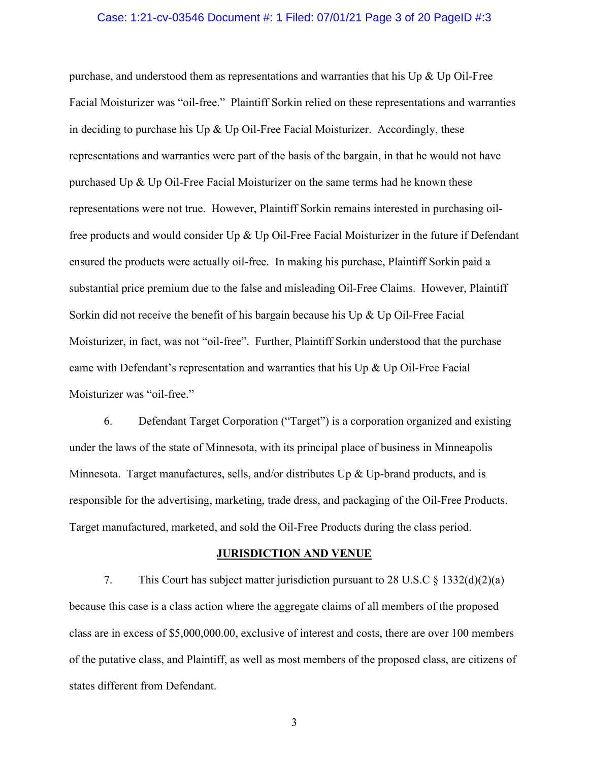### Case: 1:21-cv-03546 Document #: 1 Filed: 07/01/21 Page 3 of 20 PageID #:3

purchase, and understood them as representations and warranties that his Up  $\&$  Up Oil-Free Facial Moisturizer was "oil-free." Plaintiff Sorkin relied on these representations and warranties in deciding to purchase his Up  $\&$  Up Oil-Free Facial Moisturizer. Accordingly, these representations and warranties were part of the basis of the bargain, in that he would not have purchased Up & Up Oil-Free Facial Moisturizer on the same terms had he known these representations were not true. However, Plaintiff Sorkin remains interested in purchasing oilfree products and would consider  $Up \& Up Oil$ -Free Facial Moisturizer in the future if Defendant ensured the products were actually oil-free. In making his purchase, Plaintiff Sorkin paid a substantial price premium due to the false and misleading Oil-Free Claims. However, Plaintiff Sorkin did not receive the benefit of his bargain because his Up  $\&$  Up Oil-Free Facial Moisturizer, in fact, was not "oil-free". Further, Plaintiff Sorkin understood that the purchase came with Defendant's representation and warranties that his Up & Up Oil-Free Facial Moisturizer was "oil-free."

6. Defendant Target Corporation ("Target") is a corporation organized and existing under the laws of the state of Minnesota, with its principal place of business in Minneapolis Minnesota. Target manufactures, sells, and/or distributes Up  $\&$  Up-brand products, and is responsible for the advertising, marketing, trade dress, and packaging of the Oil-Free Products. Target manufactured, marketed, and sold the Oil-Free Products during the class period.

#### **JURISDICTION AND VENUE**

7. This Court has subject matter jurisdiction pursuant to 28 U.S.C § 1332(d)(2)(a) because this case is a class action where the aggregate claims of all members of the proposed class are in excess of \$5,000,000.00, exclusive of interest and costs, there are over 100 members of the putative class, and Plaintiff, as well as most members of the proposed class, are citizens of states different from Defendant.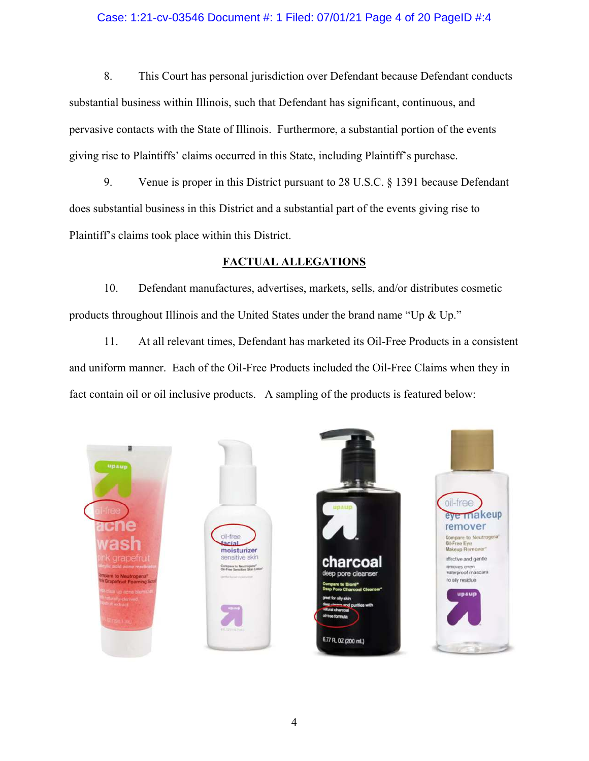### Case: 1:21-cv-03546 Document #: 1 Filed: 07/01/21 Page 4 of 20 PageID #:4

8. This Court has personal jurisdiction over Defendant because Defendant conducts substantial business within Illinois, such that Defendant has significant, continuous, and pervasive contacts with the State of Illinois. Furthermore, a substantial portion of the events giving rise to Plaintiffs' claims occurred in this State, including Plaintiff's purchase.

9. Venue is proper in this District pursuant to 28 U.S.C. § 1391 because Defendant does substantial business in this District and a substantial part of the events giving rise to Plaintiff's claims took place within this District.

### **FACTUAL ALLEGATIONS**

10. Defendant manufactures, advertises, markets, sells, and/or distributes cosmetic products throughout Illinois and the United States under the brand name "Up & Up."

11. At all relevant times, Defendant has marketed its Oil-Free Products in a consistent and uniform manner. Each of the Oil-Free Products included the Oil-Free Claims when they in fact contain oil or oil inclusive products. A sampling of the products is featured below:







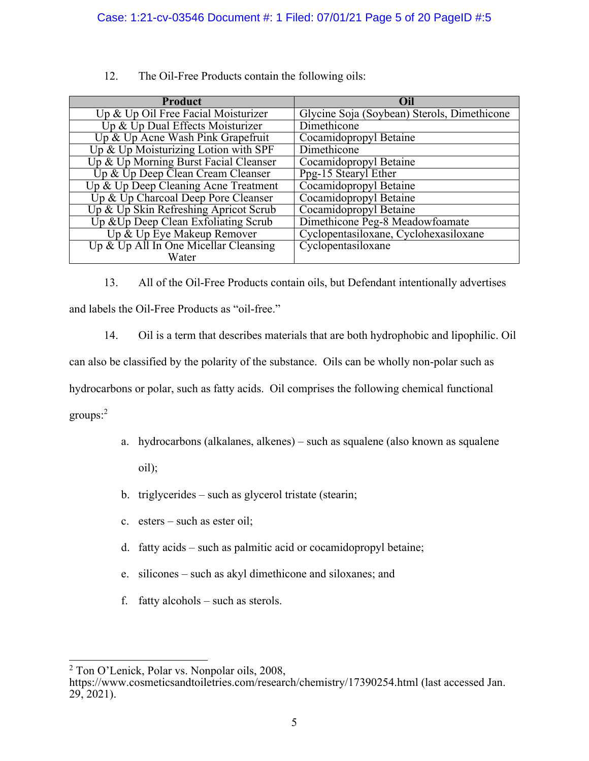| <b>Product</b>                        | Oil                                         |
|---------------------------------------|---------------------------------------------|
| Up & Up Oil Free Facial Moisturizer   | Glycine Soja (Soybean) Sterols, Dimethicone |
| Up & Up Dual Effects Moisturizer      | Dimethicone                                 |
| Up & Up Acne Wash Pink Grapefruit     | Cocamidopropyl Betaine                      |
| Up & Up Moisturizing Lotion with SPF  | Dimethicone                                 |
| Up & Up Morning Burst Facial Cleanser | Cocamidopropyl Betaine                      |
| Up & Up Deep Clean Cream Cleanser     | Ppg-15 Stearyl Ether                        |
| Up & Up Deep Cleaning Acne Treatment  | Cocamidopropyl Betaine                      |
| Up & Up Charcoal Deep Pore Cleanser   | Cocamidopropyl Betaine                      |
| Up & Up Skin Refreshing Apricot Scrub | Cocamidopropyl Betaine                      |
| Up & Up Deep Clean Exfoliating Scrub  | Dimethicone Peg-8 Meadowfoamate             |
| Up & Up Eye Makeup Remover            | Cyclopentasiloxane, Cyclohexasiloxane       |
| Up & Up All In One Micellar Cleansing | Cyclopentasiloxane                          |
| Water                                 |                                             |

12. The Oil-Free Products contain the following oils:

13. All of the Oil-Free Products contain oils, but Defendant intentionally advertises and labels the Oil-Free Products as "oil-free."

14. Oil is a term that describes materials that are both hydrophobic and lipophilic. Oil

can also be classified by the polarity of the substance. Oils can be wholly non-polar such as

hydrocarbons or polar, such as fatty acids. Oil comprises the following chemical functional

groups:<sup>2</sup>

- a. hydrocarbons (alkalanes, alkenes) such as squalene (also known as squalene oil);
- b. triglycerides such as glycerol tristate (stearin;
- c. esters such as ester oil;
- d. fatty acids such as palmitic acid or cocamidopropyl betaine;
- e. silicones such as akyl dimethicone and siloxanes; and
- f. fatty alcohols such as sterols.

<sup>&</sup>lt;sup>2</sup> Ton O'Lenick, Polar vs. Nonpolar oils, 2008,

https://www.cosmeticsandtoiletries.com/research/chemistry/17390254.html (last accessed Jan. 29, 2021).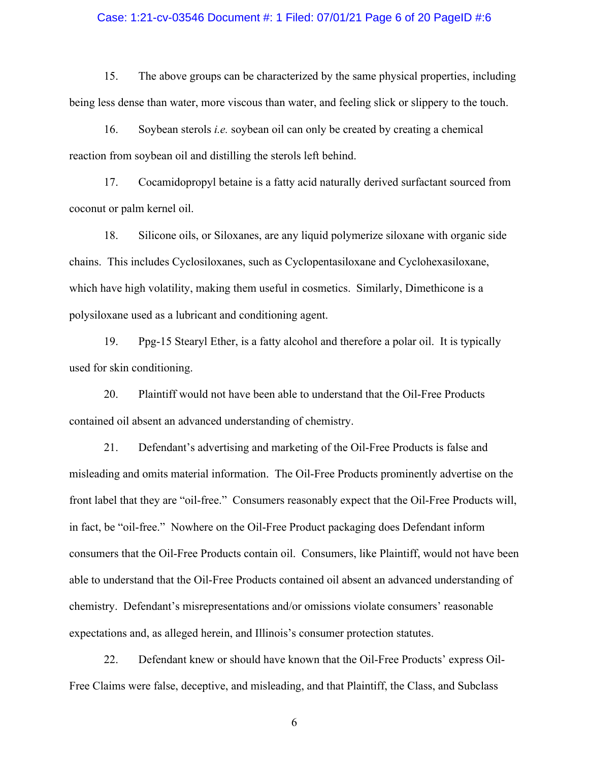### Case: 1:21-cv-03546 Document #: 1 Filed: 07/01/21 Page 6 of 20 PageID #:6

15. The above groups can be characterized by the same physical properties, including being less dense than water, more viscous than water, and feeling slick or slippery to the touch.

16. Soybean sterols *i.e.* soybean oil can only be created by creating a chemical reaction from soybean oil and distilling the sterols left behind.

17. Cocamidopropyl betaine is a fatty acid naturally derived surfactant sourced from coconut or palm kernel oil.

18. Silicone oils, or Siloxanes, are any liquid polymerize siloxane with organic side chains. This includes Cyclosiloxanes, such as Cyclopentasiloxane and Cyclohexasiloxane, which have high volatility, making them useful in cosmetics. Similarly, Dimethicone is a polysiloxane used as a lubricant and conditioning agent.

19. Ppg-15 Stearyl Ether, is a fatty alcohol and therefore a polar oil. It is typically used for skin conditioning.

20. Plaintiff would not have been able to understand that the Oil-Free Products contained oil absent an advanced understanding of chemistry.

21. Defendant's advertising and marketing of the Oil-Free Products is false and misleading and omits material information. The Oil-Free Products prominently advertise on the front label that they are "oil-free." Consumers reasonably expect that the Oil-Free Products will, in fact, be "oil-free." Nowhere on the Oil-Free Product packaging does Defendant inform consumers that the Oil-Free Products contain oil. Consumers, like Plaintiff, would not have been able to understand that the Oil-Free Products contained oil absent an advanced understanding of chemistry. Defendant's misrepresentations and/or omissions violate consumers' reasonable expectations and, as alleged herein, and Illinois's consumer protection statutes.

22. Defendant knew or should have known that the Oil-Free Products' express Oil-Free Claims were false, deceptive, and misleading, and that Plaintiff, the Class, and Subclass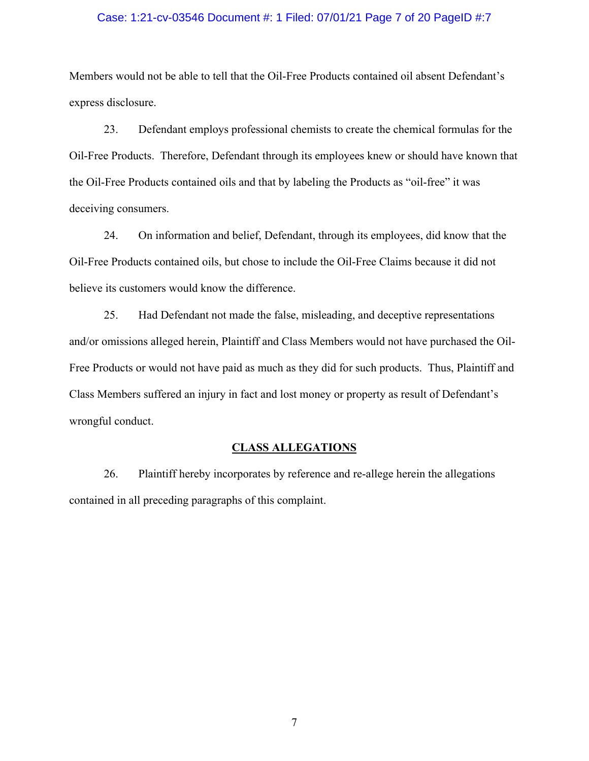### Case: 1:21-cv-03546 Document #: 1 Filed: 07/01/21 Page 7 of 20 PageID #:7

Members would not be able to tell that the Oil-Free Products contained oil absent Defendant's express disclosure.

23. Defendant employs professional chemists to create the chemical formulas for the Oil-Free Products. Therefore, Defendant through its employees knew or should have known that the Oil-Free Products contained oils and that by labeling the Products as "oil-free" it was deceiving consumers.

24. On information and belief, Defendant, through its employees, did know that the Oil-Free Products contained oils, but chose to include the Oil-Free Claims because it did not believe its customers would know the difference.

25. Had Defendant not made the false, misleading, and deceptive representations and/or omissions alleged herein, Plaintiff and Class Members would not have purchased the Oil-Free Products or would not have paid as much as they did for such products. Thus, Plaintiff and Class Members suffered an injury in fact and lost money or property as result of Defendant's wrongful conduct.

### **CLASS ALLEGATIONS**

26. Plaintiff hereby incorporates by reference and re-allege herein the allegations contained in all preceding paragraphs of this complaint.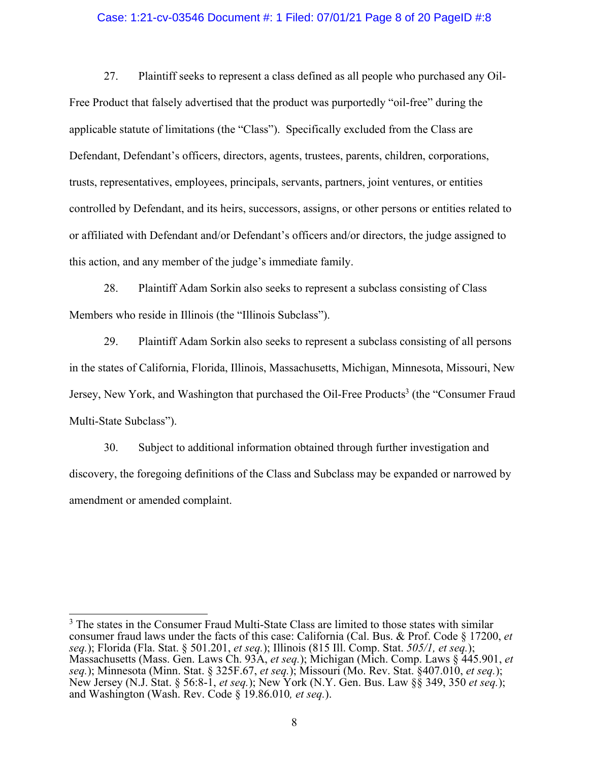### Case: 1:21-cv-03546 Document #: 1 Filed: 07/01/21 Page 8 of 20 PageID #:8

27. Plaintiff seeks to represent a class defined as all people who purchased any Oil-Free Product that falsely advertised that the product was purportedly "oil-free" during the applicable statute of limitations (the "Class"). Specifically excluded from the Class are Defendant, Defendant's officers, directors, agents, trustees, parents, children, corporations, trusts, representatives, employees, principals, servants, partners, joint ventures, or entities controlled by Defendant, and its heirs, successors, assigns, or other persons or entities related to or affiliated with Defendant and/or Defendant's officers and/or directors, the judge assigned to this action, and any member of the judge's immediate family.

28. Plaintiff Adam Sorkin also seeks to represent a subclass consisting of Class Members who reside in Illinois (the "Illinois Subclass").

29. Plaintiff Adam Sorkin also seeks to represent a subclass consisting of all persons in the states of California, Florida, Illinois, Massachusetts, Michigan, Minnesota, Missouri, New Jersey, New York, and Washington that purchased the Oil-Free Products<sup>3</sup> (the "Consumer Fraud Multi-State Subclass").

30. Subject to additional information obtained through further investigation and discovery, the foregoing definitions of the Class and Subclass may be expanded or narrowed by amendment or amended complaint.

<sup>&</sup>lt;sup>3</sup> The states in the Consumer Fraud Multi-State Class are limited to those states with similar consumer fraud laws under the facts of this case: California (Cal. Bus. & Prof. Code § 17200, *et seq.*); Florida (Fla. Stat. § 501.201, *et seq.*); Illinois (815 Ill. Comp. Stat. *505/1, et seq.*); Massachusetts (Mass. Gen. Laws Ch. 93A, *et seq.*); Michigan (Mich. Comp. Laws § 445.901, *et seq.*); Minnesota (Minn. Stat. § 325F.67, *et seq.*); Missouri (Mo. Rev. Stat. §407.010, *et seq.*); New Jersey (N.J. Stat. § 56:8-1, *et seq.*); New York (N.Y. Gen. Bus. Law §§ 349, 350 *et seq.*); and Washington (Wash. Rev. Code § 19.86.010*, et seq.*).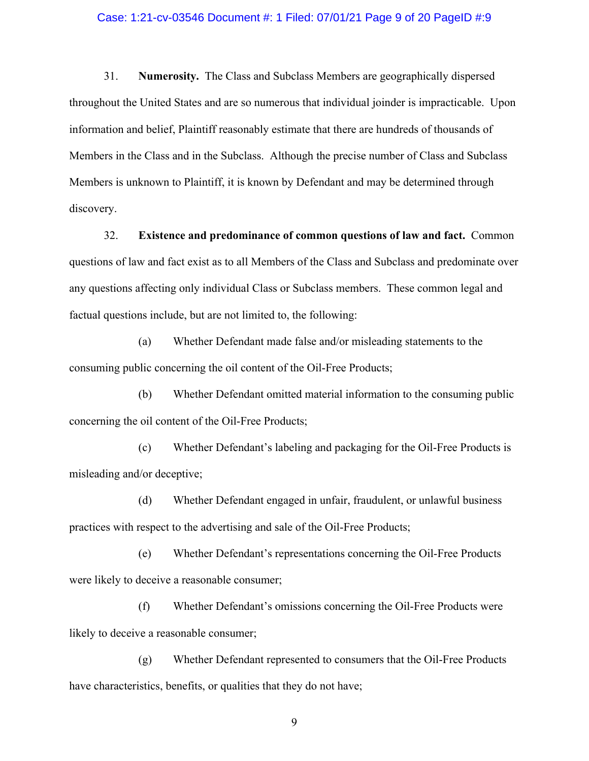### Case: 1:21-cv-03546 Document #: 1 Filed: 07/01/21 Page 9 of 20 PageID #:9

31. **Numerosity.** The Class and Subclass Members are geographically dispersed throughout the United States and are so numerous that individual joinder is impracticable. Upon information and belief, Plaintiff reasonably estimate that there are hundreds of thousands of Members in the Class and in the Subclass. Although the precise number of Class and Subclass Members is unknown to Plaintiff, it is known by Defendant and may be determined through discovery.

32. **Existence and predominance of common questions of law and fact.** Common questions of law and fact exist as to all Members of the Class and Subclass and predominate over any questions affecting only individual Class or Subclass members. These common legal and factual questions include, but are not limited to, the following:

(a) Whether Defendant made false and/or misleading statements to the consuming public concerning the oil content of the Oil-Free Products;

(b) Whether Defendant omitted material information to the consuming public concerning the oil content of the Oil-Free Products;

(c) Whether Defendant's labeling and packaging for the Oil-Free Products is misleading and/or deceptive;

(d) Whether Defendant engaged in unfair, fraudulent, or unlawful business practices with respect to the advertising and sale of the Oil-Free Products;

(e) Whether Defendant's representations concerning the Oil-Free Products were likely to deceive a reasonable consumer;

(f) Whether Defendant's omissions concerning the Oil-Free Products were likely to deceive a reasonable consumer;

(g) Whether Defendant represented to consumers that the Oil-Free Products have characteristics, benefits, or qualities that they do not have;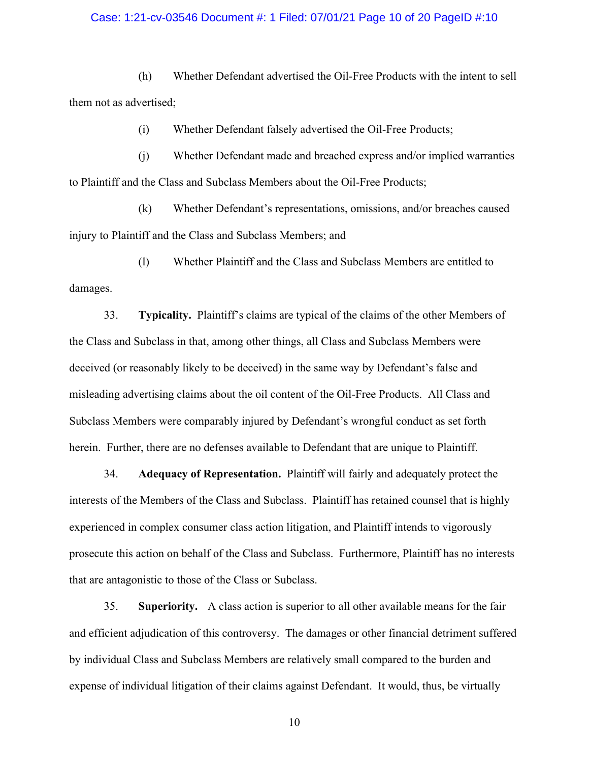### Case: 1:21-cv-03546 Document #: 1 Filed: 07/01/21 Page 10 of 20 PageID #:10

(h) Whether Defendant advertised the Oil-Free Products with the intent to sell them not as advertised;

(i) Whether Defendant falsely advertised the Oil-Free Products;

(j) Whether Defendant made and breached express and/or implied warranties to Plaintiff and the Class and Subclass Members about the Oil-Free Products;

(k) Whether Defendant's representations, omissions, and/or breaches caused injury to Plaintiff and the Class and Subclass Members; and

(l) Whether Plaintiff and the Class and Subclass Members are entitled to damages.

33. **Typicality.** Plaintiff's claims are typical of the claims of the other Members of the Class and Subclass in that, among other things, all Class and Subclass Members were deceived (or reasonably likely to be deceived) in the same way by Defendant's false and misleading advertising claims about the oil content of the Oil-Free Products. All Class and Subclass Members were comparably injured by Defendant's wrongful conduct as set forth herein. Further, there are no defenses available to Defendant that are unique to Plaintiff.

34. **Adequacy of Representation.** Plaintiff will fairly and adequately protect the interests of the Members of the Class and Subclass. Plaintiff has retained counsel that is highly experienced in complex consumer class action litigation, and Plaintiff intends to vigorously prosecute this action on behalf of the Class and Subclass. Furthermore, Plaintiff has no interests that are antagonistic to those of the Class or Subclass.

35. **Superiority.** A class action is superior to all other available means for the fair and efficient adjudication of this controversy. The damages or other financial detriment suffered by individual Class and Subclass Members are relatively small compared to the burden and expense of individual litigation of their claims against Defendant. It would, thus, be virtually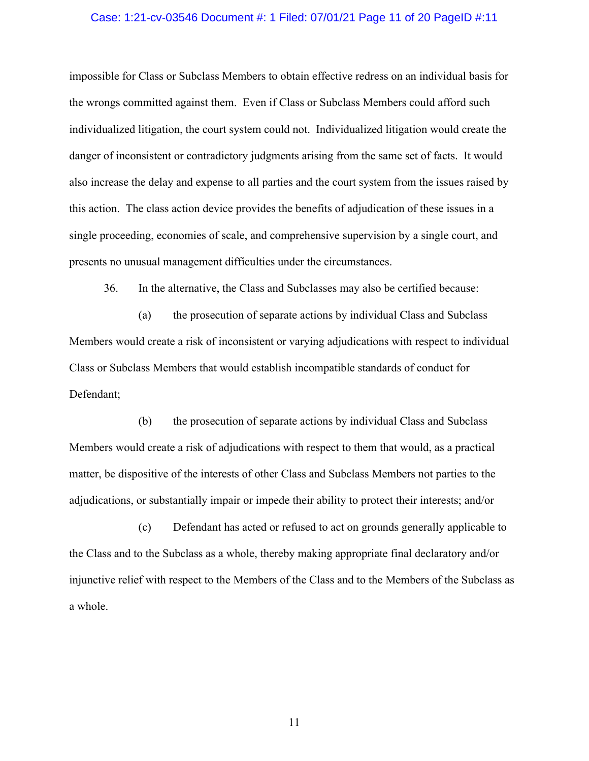### Case: 1:21-cv-03546 Document #: 1 Filed: 07/01/21 Page 11 of 20 PageID #:11

impossible for Class or Subclass Members to obtain effective redress on an individual basis for the wrongs committed against them. Even if Class or Subclass Members could afford such individualized litigation, the court system could not. Individualized litigation would create the danger of inconsistent or contradictory judgments arising from the same set of facts. It would also increase the delay and expense to all parties and the court system from the issues raised by this action. The class action device provides the benefits of adjudication of these issues in a single proceeding, economies of scale, and comprehensive supervision by a single court, and presents no unusual management difficulties under the circumstances.

36. In the alternative, the Class and Subclasses may also be certified because:

(a) the prosecution of separate actions by individual Class and Subclass Members would create a risk of inconsistent or varying adjudications with respect to individual Class or Subclass Members that would establish incompatible standards of conduct for Defendant;

(b) the prosecution of separate actions by individual Class and Subclass Members would create a risk of adjudications with respect to them that would, as a practical matter, be dispositive of the interests of other Class and Subclass Members not parties to the adjudications, or substantially impair or impede their ability to protect their interests; and/or

(c) Defendant has acted or refused to act on grounds generally applicable to the Class and to the Subclass as a whole, thereby making appropriate final declaratory and/or injunctive relief with respect to the Members of the Class and to the Members of the Subclass as a whole.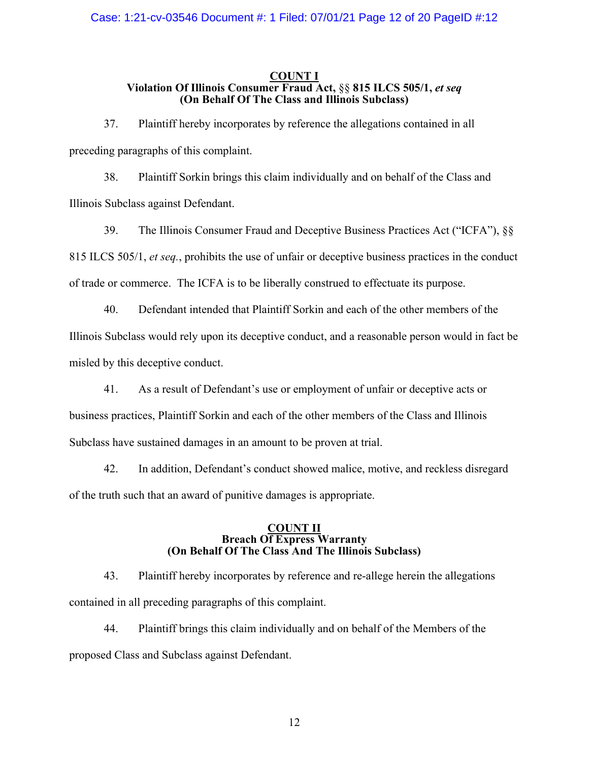### **COUNT I Violation Of Illinois Consumer Fraud Act,** §§ **815 ILCS 505/1,** *et seq* **(On Behalf Of The Class and Illinois Subclass)**

37. Plaintiff hereby incorporates by reference the allegations contained in all preceding paragraphs of this complaint.

38. Plaintiff Sorkin brings this claim individually and on behalf of the Class and Illinois Subclass against Defendant.

39. The Illinois Consumer Fraud and Deceptive Business Practices Act ("ICFA"), §§ 815 ILCS 505/1, *et seq.*, prohibits the use of unfair or deceptive business practices in the conduct of trade or commerce. The ICFA is to be liberally construed to effectuate its purpose.

40. Defendant intended that Plaintiff Sorkin and each of the other members of the Illinois Subclass would rely upon its deceptive conduct, and a reasonable person would in fact be misled by this deceptive conduct.

41. As a result of Defendant's use or employment of unfair or deceptive acts or business practices, Plaintiff Sorkin and each of the other members of the Class and Illinois Subclass have sustained damages in an amount to be proven at trial.

42. In addition, Defendant's conduct showed malice, motive, and reckless disregard of the truth such that an award of punitive damages is appropriate.

### **COUNT II Breach Of Express Warranty (On Behalf Of The Class And The Illinois Subclass)**

43. Plaintiff hereby incorporates by reference and re-allege herein the allegations contained in all preceding paragraphs of this complaint.

44. Plaintiff brings this claim individually and on behalf of the Members of the proposed Class and Subclass against Defendant.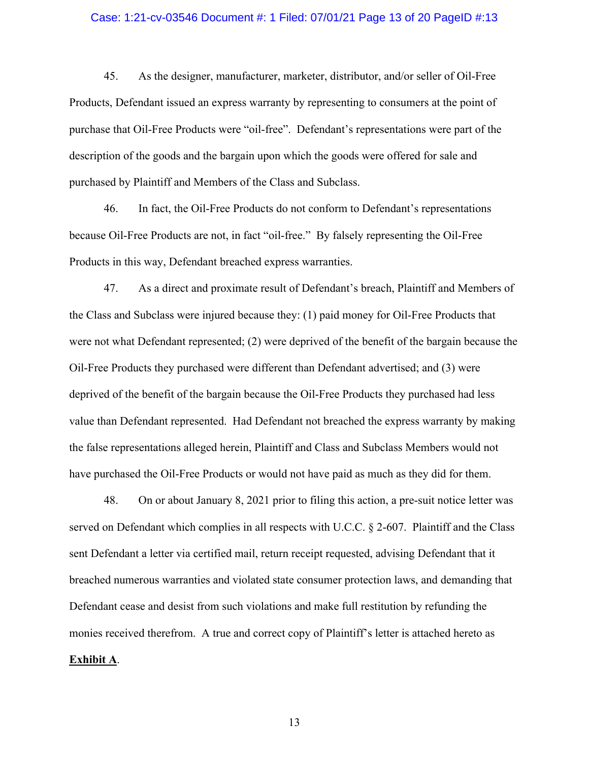### Case: 1:21-cv-03546 Document #: 1 Filed: 07/01/21 Page 13 of 20 PageID #:13

45. As the designer, manufacturer, marketer, distributor, and/or seller of Oil-Free Products, Defendant issued an express warranty by representing to consumers at the point of purchase that Oil-Free Products were "oil-free". Defendant's representations were part of the description of the goods and the bargain upon which the goods were offered for sale and purchased by Plaintiff and Members of the Class and Subclass.

46. In fact, the Oil-Free Products do not conform to Defendant's representations because Oil-Free Products are not, in fact "oil-free." By falsely representing the Oil-Free Products in this way, Defendant breached express warranties.

47. As a direct and proximate result of Defendant's breach, Plaintiff and Members of the Class and Subclass were injured because they: (1) paid money for Oil-Free Products that were not what Defendant represented; (2) were deprived of the benefit of the bargain because the Oil-Free Products they purchased were different than Defendant advertised; and (3) were deprived of the benefit of the bargain because the Oil-Free Products they purchased had less value than Defendant represented. Had Defendant not breached the express warranty by making the false representations alleged herein, Plaintiff and Class and Subclass Members would not have purchased the Oil-Free Products or would not have paid as much as they did for them.

48. On or about January 8, 2021 prior to filing this action, a pre-suit notice letter was served on Defendant which complies in all respects with U.C.C. § 2-607. Plaintiff and the Class sent Defendant a letter via certified mail, return receipt requested, advising Defendant that it breached numerous warranties and violated state consumer protection laws, and demanding that Defendant cease and desist from such violations and make full restitution by refunding the monies received therefrom. A true and correct copy of Plaintiff's letter is attached hereto as **Exhibit A**.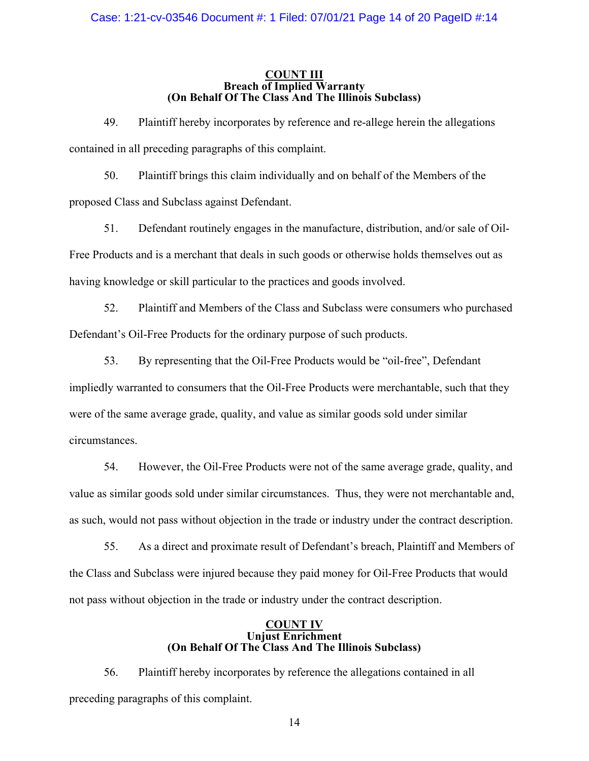### **COUNT III Breach of Implied Warranty (On Behalf Of The Class And The Illinois Subclass)**

49. Plaintiff hereby incorporates by reference and re-allege herein the allegations contained in all preceding paragraphs of this complaint.

50. Plaintiff brings this claim individually and on behalf of the Members of the proposed Class and Subclass against Defendant.

51. Defendant routinely engages in the manufacture, distribution, and/or sale of Oil-Free Products and is a merchant that deals in such goods or otherwise holds themselves out as having knowledge or skill particular to the practices and goods involved.

52. Plaintiff and Members of the Class and Subclass were consumers who purchased Defendant's Oil-Free Products for the ordinary purpose of such products.

53. By representing that the Oil-Free Products would be "oil-free", Defendant impliedly warranted to consumers that the Oil-Free Products were merchantable, such that they were of the same average grade, quality, and value as similar goods sold under similar circumstances.

54. However, the Oil-Free Products were not of the same average grade, quality, and value as similar goods sold under similar circumstances. Thus, they were not merchantable and, as such, would not pass without objection in the trade or industry under the contract description.

55. As a direct and proximate result of Defendant's breach, Plaintiff and Members of the Class and Subclass were injured because they paid money for Oil-Free Products that would not pass without objection in the trade or industry under the contract description.

#### **COUNT IV Unjust Enrichment (On Behalf Of The Class And The Illinois Subclass)**

56. Plaintiff hereby incorporates by reference the allegations contained in all preceding paragraphs of this complaint.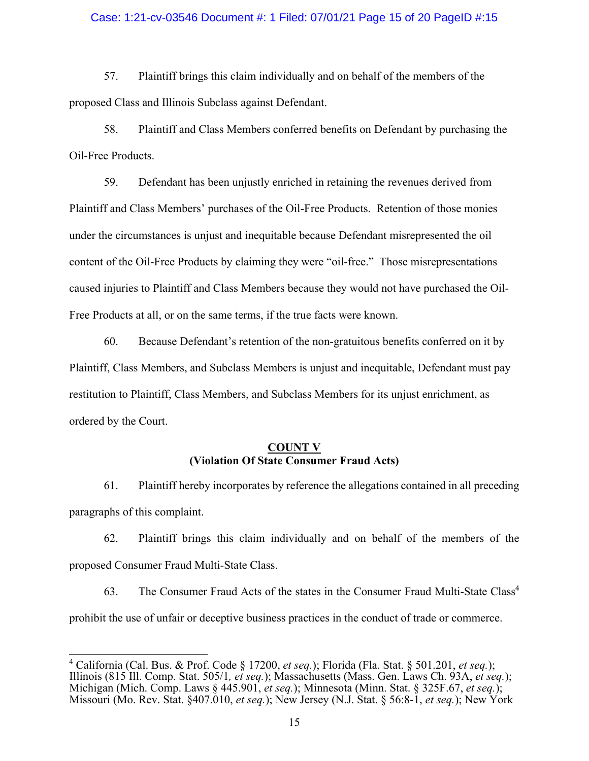### Case: 1:21-cv-03546 Document #: 1 Filed: 07/01/21 Page 15 of 20 PageID #:15

57. Plaintiff brings this claim individually and on behalf of the members of the proposed Class and Illinois Subclass against Defendant.

58. Plaintiff and Class Members conferred benefits on Defendant by purchasing the Oil-Free Products.

59. Defendant has been unjustly enriched in retaining the revenues derived from Plaintiff and Class Members' purchases of the Oil-Free Products. Retention of those monies under the circumstances is unjust and inequitable because Defendant misrepresented the oil content of the Oil-Free Products by claiming they were "oil-free." Those misrepresentations caused injuries to Plaintiff and Class Members because they would not have purchased the Oil-Free Products at all, or on the same terms, if the true facts were known.

60. Because Defendant's retention of the non-gratuitous benefits conferred on it by Plaintiff, Class Members, and Subclass Members is unjust and inequitable, Defendant must pay restitution to Plaintiff, Class Members, and Subclass Members for its unjust enrichment, as ordered by the Court.

### **COUNT V (Violation Of State Consumer Fraud Acts)**

61. Plaintiff hereby incorporates by reference the allegations contained in all preceding paragraphs of this complaint.

62. Plaintiff brings this claim individually and on behalf of the members of the proposed Consumer Fraud Multi-State Class.

63. The Consumer Fraud Acts of the states in the Consumer Fraud Multi-State Class<sup>4</sup> prohibit the use of unfair or deceptive business practices in the conduct of trade or commerce.

<sup>4</sup> California (Cal. Bus. & Prof. Code § 17200, *et seq.*); Florida (Fla. Stat. § 501.201, *et seq.*); Illinois (815 Ill. Comp. Stat. 505/1*, et seq.*); Massachusetts (Mass. Gen. Laws Ch. 93A, *et seq.*); Michigan (Mich. Comp. Laws § 445.901, *et seq.*); Minnesota (Minn. Stat. § 325F.67, *et seq.*); Missouri (Mo. Rev. Stat. §407.010, *et seq.*); New Jersey (N.J. Stat. § 56:8-1, *et seq.*); New York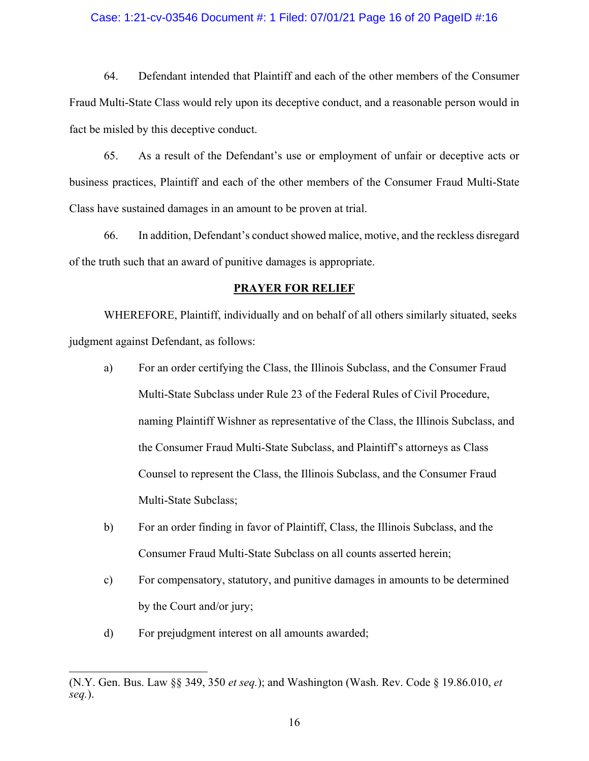### Case: 1:21-cv-03546 Document #: 1 Filed: 07/01/21 Page 16 of 20 PageID #:16

64. Defendant intended that Plaintiff and each of the other members of the Consumer Fraud Multi-State Class would rely upon its deceptive conduct, and a reasonable person would in fact be misled by this deceptive conduct.

65. As a result of the Defendant's use or employment of unfair or deceptive acts or business practices, Plaintiff and each of the other members of the Consumer Fraud Multi-State Class have sustained damages in an amount to be proven at trial.

66. In addition, Defendant's conduct showed malice, motive, and the reckless disregard of the truth such that an award of punitive damages is appropriate.

#### **PRAYER FOR RELIEF**

WHEREFORE, Plaintiff, individually and on behalf of all others similarly situated, seeks judgment against Defendant, as follows:

- a) For an order certifying the Class, the Illinois Subclass, and the Consumer Fraud Multi-State Subclass under Rule 23 of the Federal Rules of Civil Procedure, naming Plaintiff Wishner as representative of the Class, the Illinois Subclass, and the Consumer Fraud Multi-State Subclass, and Plaintiff's attorneys as Class Counsel to represent the Class, the Illinois Subclass, and the Consumer Fraud Multi-State Subclass;
- b) For an order finding in favor of Plaintiff, Class, the Illinois Subclass, and the Consumer Fraud Multi-State Subclass on all counts asserted herein;
- c) For compensatory, statutory, and punitive damages in amounts to be determined by the Court and/or jury;
- d) For prejudgment interest on all amounts awarded;

<sup>(</sup>N.Y. Gen. Bus. Law §§ 349, 350 *et seq.*); and Washington (Wash. Rev. Code § 19.86.010, *et seq.*).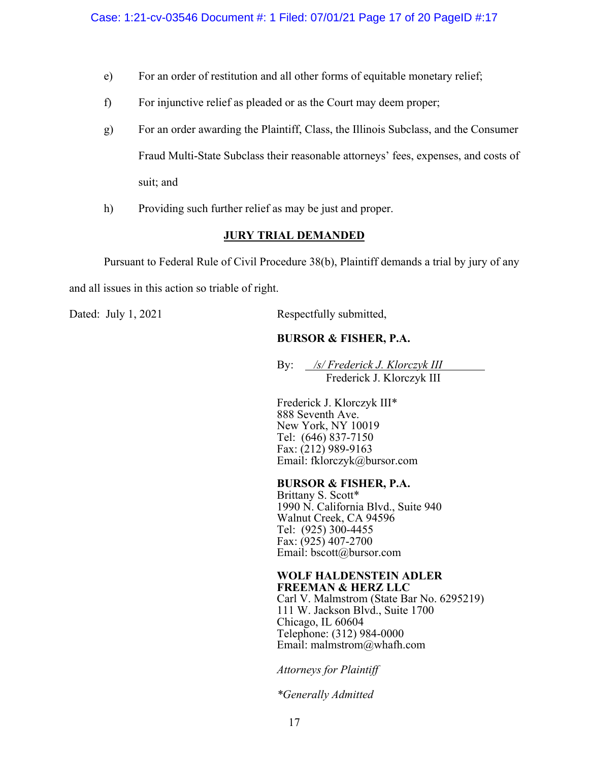- e) For an order of restitution and all other forms of equitable monetary relief;
- f) For injunctive relief as pleaded or as the Court may deem proper;
- g) For an order awarding the Plaintiff, Class, the Illinois Subclass, and the Consumer Fraud Multi-State Subclass their reasonable attorneys' fees, expenses, and costs of suit; and
- h) Providing such further relief as may be just and proper.

# **JURY TRIAL DEMANDED**

Pursuant to Federal Rule of Civil Procedure 38(b), Plaintiff demands a trial by jury of any

and all issues in this action so triable of right.

Dated: July 1, 2021 Respectfully submitted,

# **BURSOR & FISHER, P.A.**

By: */s/ Frederick J. Klorczyk III* Frederick J. Klorczyk III

Frederick J. Klorczyk III\* 888 Seventh Ave. New York, NY 10019 Tel: (646) 837-7150 Fax: (212) 989-9163 Email: fklorczyk@bursor.com

## **BURSOR & FISHER, P.A.**

Brittany S. Scott\* 1990 N. California Blvd., Suite 940 Walnut Creek, CA 94596 Tel: (925) 300-4455 Fax: (925) 407-2700 Email: bscott@bursor.com

## **WOLF HALDENSTEIN ADLER FREEMAN & HERZ LLC**

Carl V. Malmstrom (State Bar No. 6295219) 111 W. Jackson Blvd., Suite 1700 Chicago, IL 60604 Telephone: (312) 984-0000 Email: malmstrom@whafh.com

*Attorneys for Plaintiff* 

*\*Generally Admitted*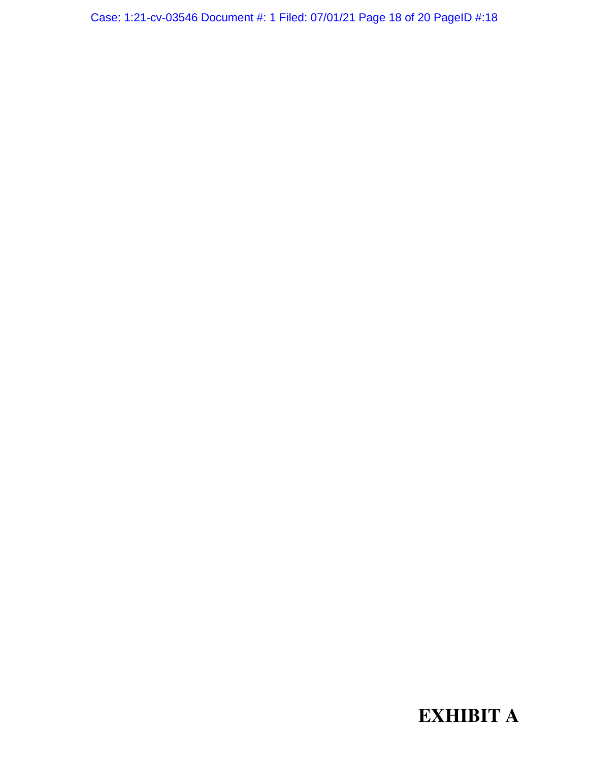Case: 1:21-cv-03546 Document #: 1 Filed: 07/01/21 Page 18 of 20 PageID #:18

**EXHIBIT A**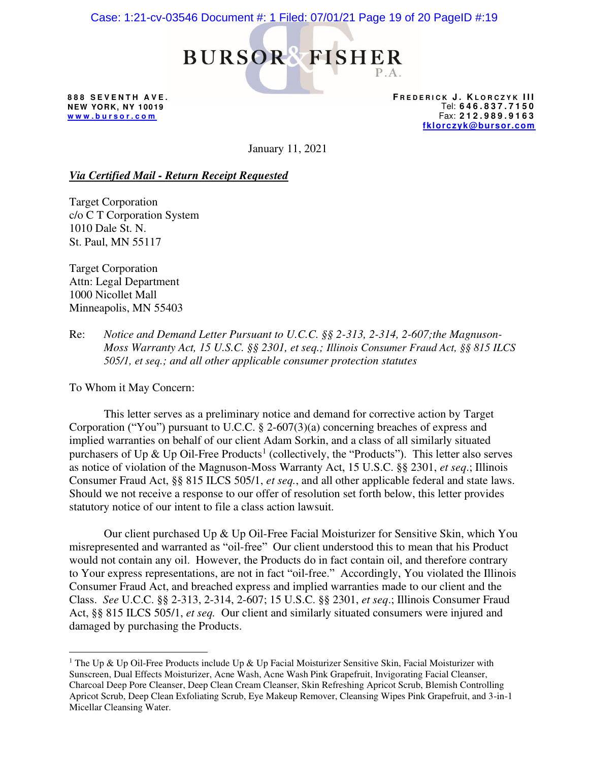# Case: 1:21-cv-03546 Document #: 1 Filed: 07/01/21 Page 19 of 20 PageID #:19



**888 SEVENTH AVE. NEW YORK, NY 10019 w w w . b u r s o r . c o m** 

**F R E D E R I C K J . K L O R C Z Y K III** Tel: **646.837.7150**  Fax: **212.989.9163 fklorczyk@bursor.com** 

January 11, 2021

### *Via Certified Mail - Return Receipt Requested*

Target Corporation c/o C T Corporation System 1010 Dale St. N. St. Paul, MN 55117

Target Corporation Attn: Legal Department 1000 Nicollet Mall Minneapolis, MN 55403

Re: *Notice and Demand Letter Pursuant to U.C.C. §§ 2-313, 2-314, 2-607;the Magnuson-Moss Warranty Act, 15 U.S.C. §§ 2301, et seq.; Illinois Consumer Fraud Act, §§ 815 ILCS 505/1, et seq.; and all other applicable consumer protection statutes* 

To Whom it May Concern:

This letter serves as a preliminary notice and demand for corrective action by Target Corporation ("You") pursuant to U.C.C. § 2-607(3)(a) concerning breaches of express and implied warranties on behalf of our client Adam Sorkin, and a class of all similarly situated purchasers of Up & Up Oil-Free Products<sup>1</sup> (collectively, the "Products"). This letter also serves as notice of violation of the Magnuson-Moss Warranty Act, 15 U.S.C. §§ 2301, *et seq*.; Illinois Consumer Fraud Act, §§ 815 ILCS 505/1, *et seq.*, and all other applicable federal and state laws. Should we not receive a response to our offer of resolution set forth below, this letter provides statutory notice of our intent to file a class action lawsuit.

Our client purchased Up & Up Oil-Free Facial Moisturizer for Sensitive Skin, which You misrepresented and warranted as "oil-free" Our client understood this to mean that his Product would not contain any oil. However, the Products do in fact contain oil, and therefore contrary to Your express representations, are not in fact "oil-free." Accordingly, You violated the Illinois Consumer Fraud Act, and breached express and implied warranties made to our client and the Class. *See* U.C.C. §§ 2-313, 2-314, 2-607; 15 U.S.C. §§ 2301, *et seq*.; Illinois Consumer Fraud Act, §§ 815 ILCS 505/1, *et seq.* Our client and similarly situated consumers were injured and damaged by purchasing the Products.

<sup>&</sup>lt;sup>1</sup> The Up & Up Oil-Free Products include Up & Up Facial Moisturizer Sensitive Skin, Facial Moisturizer with Sunscreen, Dual Effects Moisturizer, Acne Wash, Acne Wash Pink Grapefruit, Invigorating Facial Cleanser, Charcoal Deep Pore Cleanser, Deep Clean Cream Cleanser, Skin Refreshing Apricot Scrub, Blemish Controlling Apricot Scrub, Deep Clean Exfoliating Scrub, Eye Makeup Remover, Cleansing Wipes Pink Grapefruit, and 3-in-1 Micellar Cleansing Water.